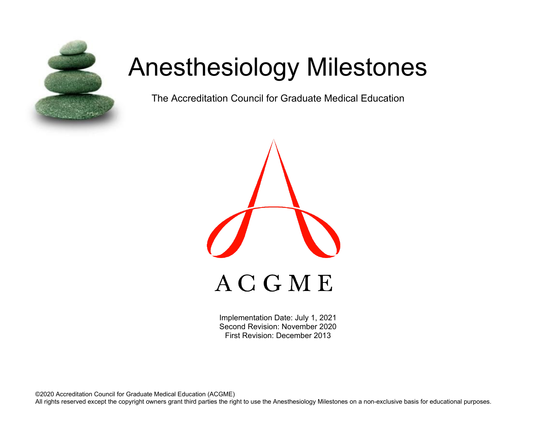

# Anesthesiology Milestones

The Accreditation Council for Graduate Medical Education



Implementation Date: July 1, 2021 Second Revision: November 2020 First Revision: December 2013

©2020 Accreditation Council for Graduate Medical Education (ACGME) All rights reserved except the copyright owners grant third parties the right to use the Anesthesiology Milestones on a non-exclusive basis for educational purposes.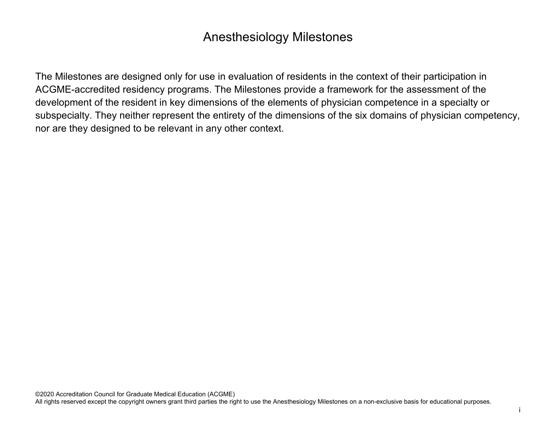# Anesthesiology Milestones

The Milestones are designed only for use in evaluation of residents in the context of their participation in ACGME-accredited residency programs. The Milestones provide a framework for the assessment of the development of the resident in key dimensions of the elements of physician competence in a specialty or subspecialty. They neither represent the entirety of the dimensions of the six domains of physician competency, nor are they designed to be relevant in any other context.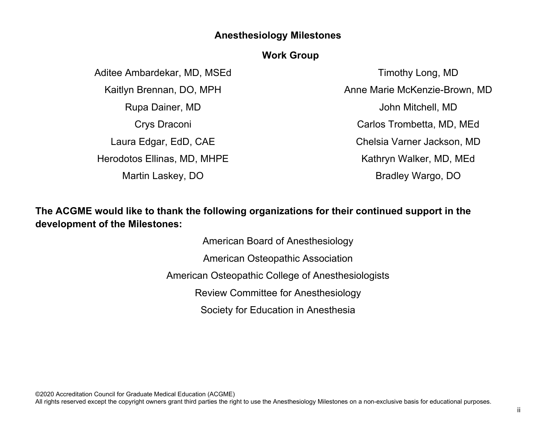## **Anesthesiology Milestones**

#### **Work Group**

Aditee Ambardekar, MD, MSEd Kaitlyn Brennan, DO, MPH Rupa Dainer, MD Crys Draconi Laura Edgar, EdD, CAE Herodotos Ellinas, MD, MHPE Martin Laskey, DO

Timothy Long, MD Anne Marie McKenzie-Brown, MD John Mitchell, MD Carlos Trombetta, MD, MEd Chelsia Varner Jackson, MD Kathryn Walker, MD, MEd Bradley Wargo, DO

**The ACGME would like to thank the following organizations for their continued support in the development of the Milestones:**

> American Board of Anesthesiology American Osteopathic Association American Osteopathic College of Anesthesiologists Review Committee for Anesthesiology Society for Education in Anesthesia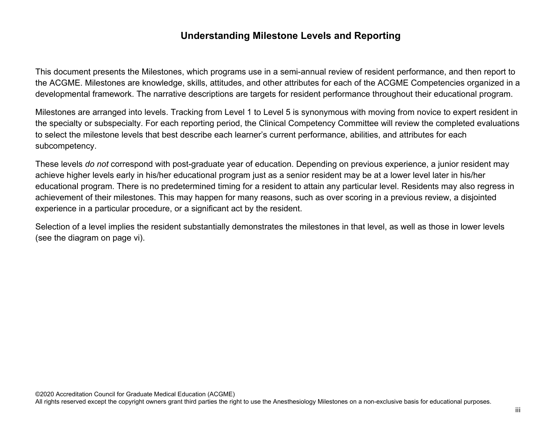## **Understanding Milestone Levels and Reporting**

This document presents the Milestones, which programs use in a semi-annual review of resident performance, and then report to the ACGME. Milestones are knowledge, skills, attitudes, and other attributes for each of the ACGME Competencies organized in a developmental framework. The narrative descriptions are targets for resident performance throughout their educational program.

Milestones are arranged into levels. Tracking from Level 1 to Level 5 is synonymous with moving from novice to expert resident in the specialty or subspecialty. For each reporting period, the Clinical Competency Committee will review the completed evaluations to select the milestone levels that best describe each learner's current performance, abilities, and attributes for each subcompetency.

These levels *do not* correspond with post-graduate year of education. Depending on previous experience, a junior resident may achieve higher levels early in his/her educational program just as a senior resident may be at a lower level later in his/her educational program. There is no predetermined timing for a resident to attain any particular level. Residents may also regress in achievement of their milestones. This may happen for many reasons, such as over scoring in a previous review, a disjointed experience in a particular procedure, or a significant act by the resident.

Selection of a level implies the resident substantially demonstrates the milestones in that level, as well as those in lower levels (see the diagram on page vi).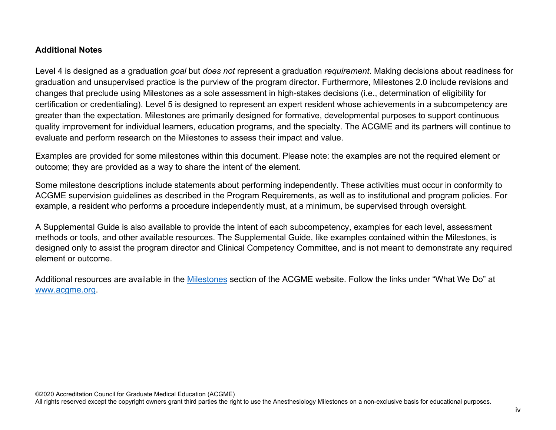#### **Additional Notes**

Level 4 is designed as a graduation *goal* but *does not* represent a graduation *requirement*. Making decisions about readiness for graduation and unsupervised practice is the purview of the program director. Furthermore, Milestones 2.0 include revisions and changes that preclude using Milestones as a sole assessment in high-stakes decisions (i.e., determination of eligibility for certification or credentialing). Level 5 is designed to represent an expert resident whose achievements in a subcompetency are greater than the expectation. Milestones are primarily designed for formative, developmental purposes to support continuous quality improvement for individual learners, education programs, and the specialty. The ACGME and its partners will continue to evaluate and perform research on the Milestones to assess their impact and value.

Examples are provided for some milestones within this document. Please note: the examples are not the required element or outcome; they are provided as a way to share the intent of the element.

Some milestone descriptions include statements about performing independently. These activities must occur in conformity to ACGME supervision guidelines as described in the Program Requirements, as well as to institutional and program policies. For example, a resident who performs a procedure independently must, at a minimum, be supervised through oversight.

A Supplemental Guide is also available to provide the intent of each subcompetency, examples for each level, assessment methods or tools, and other available resources. The Supplemental Guide, like examples contained within the Milestones, is designed only to assist the program director and Clinical Competency Committee, and is not meant to demonstrate any required element or outcome.

Additional resources are available in the [Milestones](http://www.acgme.org/What-We-Do/Accreditation/Milestones/Overview) section of the ACGME website. Follow the links under "What We Do" at [www.acgme.org.](http://www.acgme.org/)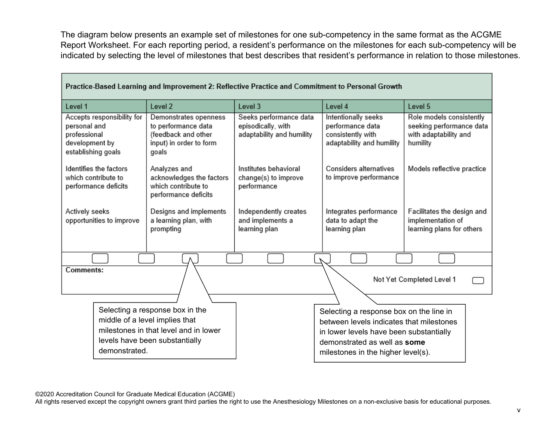The diagram below presents an example set of milestones for one sub-competency in the same format as the ACGME Report Worksheet. For each reporting period, a resident's performance on the milestones for each sub-competency will be indicated by selecting the level of milestones that best describes that resident's performance in relation to those milestones.

| Practice-Dased Learning and improvement Z. Renective Practice and Communent to Personal Growth     |                                                                                                                                              |                                                                           |                                                                                                                                                                                                      |                                                                                           |  |
|----------------------------------------------------------------------------------------------------|----------------------------------------------------------------------------------------------------------------------------------------------|---------------------------------------------------------------------------|------------------------------------------------------------------------------------------------------------------------------------------------------------------------------------------------------|-------------------------------------------------------------------------------------------|--|
| Level 1                                                                                            | Level <sub>2</sub>                                                                                                                           | Level 3                                                                   | Level 4                                                                                                                                                                                              | Level 5                                                                                   |  |
| Accepts responsibility for<br>personal and<br>professional<br>development by<br>establishing goals | Demonstrates openness<br>to performance data<br>(feedback and other<br>input) in order to form<br>goals                                      | Seeks performance data<br>episodically, with<br>adaptability and humility | Intentionally seeks<br>performance data<br>consistently with<br>adaptability and humility                                                                                                            | Role models consistently<br>seeking performance data<br>with adaptability and<br>humility |  |
| Identifies the factors<br>which contribute to<br>performance deficits                              | Analyzes and<br>acknowledges the factors<br>which contribute to<br>performance deficits                                                      | Institutes behavioral<br>change(s) to improve<br>performance              | Considers alternatives<br>to improve performance                                                                                                                                                     | Models reflective practice                                                                |  |
| Actively seeks<br>opportunities to improve                                                         | Designs and implements<br>a learning plan, with<br>prompting                                                                                 | Independently creates<br>and implements a<br>learning plan                | Integrates performance<br>data to adapt the<br>learning plan                                                                                                                                         | Facilitates the design and<br>implementation of<br>learning plans for others              |  |
|                                                                                                    |                                                                                                                                              |                                                                           |                                                                                                                                                                                                      |                                                                                           |  |
| Comments:<br>Not Yet Completed Level 1                                                             |                                                                                                                                              |                                                                           |                                                                                                                                                                                                      |                                                                                           |  |
|                                                                                                    |                                                                                                                                              |                                                                           |                                                                                                                                                                                                      |                                                                                           |  |
| demonstrated.                                                                                      | Selecting a response box in the<br>middle of a level implies that<br>milestones in that level and in lower<br>levels have been substantially |                                                                           | Selecting a response box on the line in<br>between levels indicates that milestones<br>in lower levels have been substantially<br>demonstrated as well as some<br>milestones in the higher level(s). |                                                                                           |  |

#### **Drastige Read Learning and Improvement 2: Reflective Brastiae and Commitment to Bergenal Crowth**

©2020 Accreditation Council for Graduate Medical Education (ACGME)

All rights reserved except the copyright owners grant third parties the right to use the Anesthesiology Milestones on a non-exclusive basis for educational purposes.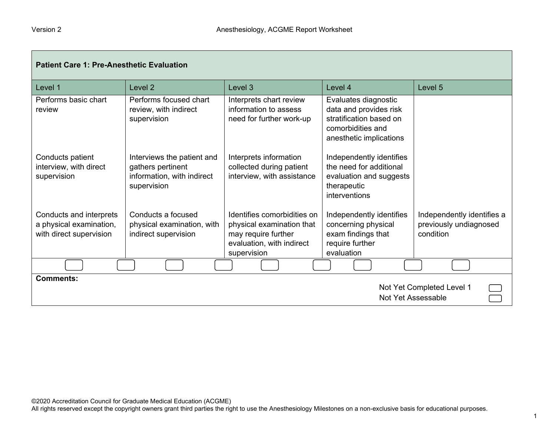| <b>Patient Care 1: Pre-Anesthetic Evaluation</b>                              |                                                                                              |                                                                                                                             |                                                                                                                           |                                                                   |
|-------------------------------------------------------------------------------|----------------------------------------------------------------------------------------------|-----------------------------------------------------------------------------------------------------------------------------|---------------------------------------------------------------------------------------------------------------------------|-------------------------------------------------------------------|
| Level 1                                                                       | Level <sub>2</sub>                                                                           | Level 3                                                                                                                     | Level 4                                                                                                                   | Level 5                                                           |
| Performs basic chart<br>review                                                | Performs focused chart<br>review, with indirect<br>supervision                               | Interprets chart review<br>information to assess<br>need for further work-up                                                | Evaluates diagnostic<br>data and provides risk<br>stratification based on<br>comorbidities and<br>anesthetic implications |                                                                   |
| Conducts patient<br>interview, with direct<br>supervision                     | Interviews the patient and<br>gathers pertinent<br>information, with indirect<br>supervision | Interprets information<br>collected during patient<br>interview, with assistance                                            | Independently identifies<br>the need for additional<br>evaluation and suggests<br>therapeutic<br>interventions            |                                                                   |
| Conducts and interprets<br>a physical examination,<br>with direct supervision | Conducts a focused<br>physical examination, with<br>indirect supervision                     | Identifies comorbidities on<br>physical examination that<br>may require further<br>evaluation, with indirect<br>supervision | Independently identifies<br>concerning physical<br>exam findings that<br>require further<br>evaluation                    | Independently identifies a<br>previously undiagnosed<br>condition |
|                                                                               |                                                                                              |                                                                                                                             |                                                                                                                           |                                                                   |
| <b>Comments:</b>                                                              |                                                                                              |                                                                                                                             | Not Yet Assessable                                                                                                        | Not Yet Completed Level 1                                         |

 $\overline{\phantom{0}}$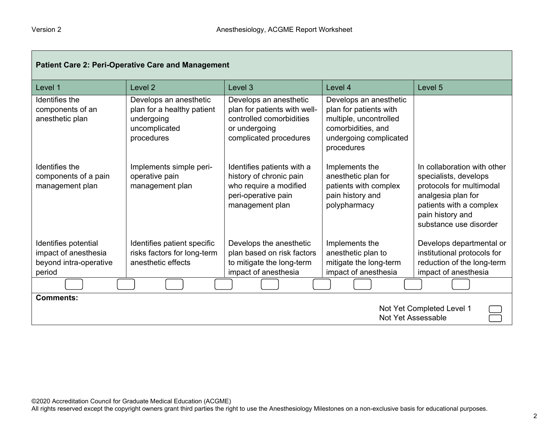| <b>Patient Care 2: Peri-Operative Care and Management</b>                        |                                                                                                   |                                                                                                                               |                                                                                                                                          |                                                                                                                                                                                 |
|----------------------------------------------------------------------------------|---------------------------------------------------------------------------------------------------|-------------------------------------------------------------------------------------------------------------------------------|------------------------------------------------------------------------------------------------------------------------------------------|---------------------------------------------------------------------------------------------------------------------------------------------------------------------------------|
| Level 1                                                                          | Level <sub>2</sub>                                                                                | Level 3                                                                                                                       | Level 4                                                                                                                                  | Level 5                                                                                                                                                                         |
| Identifies the<br>components of an<br>anesthetic plan                            | Develops an anesthetic<br>plan for a healthy patient<br>undergoing<br>uncomplicated<br>procedures | Develops an anesthetic<br>plan for patients with well-<br>controlled comorbidities<br>or undergoing<br>complicated procedures | Develops an anesthetic<br>plan for patients with<br>multiple, uncontrolled<br>comorbidities, and<br>undergoing complicated<br>procedures |                                                                                                                                                                                 |
| Identifies the<br>components of a pain<br>management plan                        | Implements simple peri-<br>operative pain<br>management plan                                      | Identifies patients with a<br>history of chronic pain<br>who require a modified<br>peri-operative pain<br>management plan     | Implements the<br>anesthetic plan for<br>patients with complex<br>pain history and<br>polypharmacy                                       | In collaboration with other<br>specialists, develops<br>protocols for multimodal<br>analgesia plan for<br>patients with a complex<br>pain history and<br>substance use disorder |
| Identifies potential<br>impact of anesthesia<br>beyond intra-operative<br>period | Identifies patient specific<br>risks factors for long-term<br>anesthetic effects                  | Develops the anesthetic<br>plan based on risk factors<br>to mitigate the long-term<br>impact of anesthesia                    | Implements the<br>anesthetic plan to<br>mitigate the long-term<br>impact of anesthesia                                                   | Develops departmental or<br>institutional protocols for<br>reduction of the long-term<br>impact of anesthesia                                                                   |
|                                                                                  |                                                                                                   |                                                                                                                               |                                                                                                                                          |                                                                                                                                                                                 |
| <b>Comments:</b><br>Not Yet Completed Level 1<br>Not Yet Assessable              |                                                                                                   |                                                                                                                               |                                                                                                                                          |                                                                                                                                                                                 |

 $\overline{\phantom{0}}$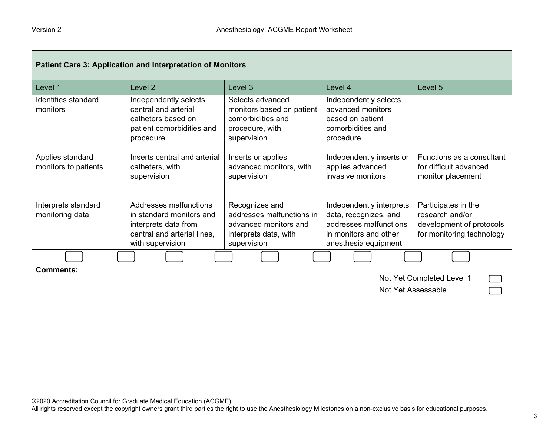| Patient Care 3: Application and Interpretation of Monitors          |                                                                                                                               |                                                                                                              |                                                                                                                              |                                                                                                 |
|---------------------------------------------------------------------|-------------------------------------------------------------------------------------------------------------------------------|--------------------------------------------------------------------------------------------------------------|------------------------------------------------------------------------------------------------------------------------------|-------------------------------------------------------------------------------------------------|
| Level 1                                                             | Level 2                                                                                                                       | Level 3                                                                                                      | Level 4                                                                                                                      | Level 5                                                                                         |
| Identifies standard<br>monitors                                     | Independently selects<br>central and arterial<br>catheters based on<br>patient comorbidities and<br>procedure                 | Selects advanced<br>monitors based on patient<br>comorbidities and<br>procedure, with<br>supervision         | Independently selects<br>advanced monitors<br>based on patient<br>comorbidities and<br>procedure                             |                                                                                                 |
| Applies standard<br>monitors to patients                            | Inserts central and arterial<br>catheters, with<br>supervision                                                                | Inserts or applies<br>advanced monitors, with<br>supervision                                                 | Independently inserts or<br>applies advanced<br>invasive monitors                                                            | Functions as a consultant<br>for difficult advanced<br>monitor placement                        |
| Interprets standard<br>monitoring data                              | Addresses malfunctions<br>in standard monitors and<br>interprets data from<br>central and arterial lines,<br>with supervision | Recognizes and<br>addresses malfunctions in<br>advanced monitors and<br>interprets data, with<br>supervision | Independently interprets<br>data, recognizes, and<br>addresses malfunctions<br>in monitors and other<br>anesthesia equipment | Participates in the<br>research and/or<br>development of protocols<br>for monitoring technology |
|                                                                     |                                                                                                                               |                                                                                                              |                                                                                                                              |                                                                                                 |
| <b>Comments:</b><br>Not Yet Completed Level 1<br>Not Yet Assessable |                                                                                                                               |                                                                                                              |                                                                                                                              |                                                                                                 |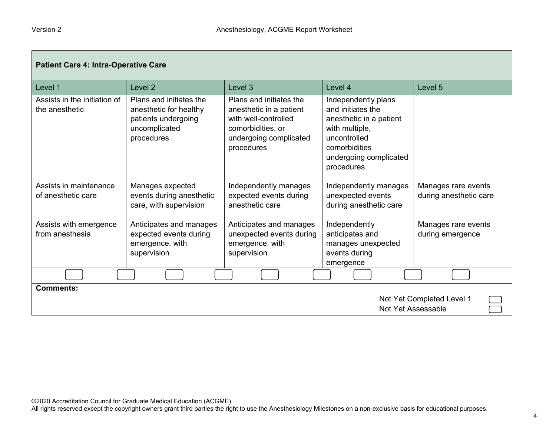| <b>Patient Care 4: Intra-Operative Care</b>                         |                                                                                                         |                                                                                                                                         |                                                                                                                                                                |                                               |
|---------------------------------------------------------------------|---------------------------------------------------------------------------------------------------------|-----------------------------------------------------------------------------------------------------------------------------------------|----------------------------------------------------------------------------------------------------------------------------------------------------------------|-----------------------------------------------|
| Level 1                                                             | Level <sub>2</sub>                                                                                      | Level 3                                                                                                                                 | Level 4                                                                                                                                                        | Level 5                                       |
| Assists in the initiation of<br>the anesthetic                      | Plans and initiates the<br>anesthetic for healthy<br>patients undergoing<br>uncomplicated<br>procedures | Plans and initiates the<br>anesthetic in a patient<br>with well-controlled<br>comorbidities, or<br>undergoing complicated<br>procedures | Independently plans<br>and initiates the<br>anesthetic in a patient<br>with multiple,<br>uncontrolled<br>comorbidities<br>undergoing complicated<br>procedures |                                               |
| Assists in maintenance<br>of anesthetic care                        | Manages expected<br>events during anesthetic<br>care, with supervision                                  | Independently manages<br>expected events during<br>anesthetic care                                                                      | Independently manages<br>unexpected events<br>during anesthetic care                                                                                           | Manages rare events<br>during anesthetic care |
| Assists with emergence<br>from anesthesia                           | Anticipates and manages<br>expected events during<br>emergence, with<br>supervision                     | Anticipates and manages<br>unexpected events during<br>emergence, with<br>supervision                                                   | Independently<br>anticipates and<br>manages unexpected<br>events during<br>emergence                                                                           | Manages rare events<br>during emergence       |
|                                                                     |                                                                                                         |                                                                                                                                         |                                                                                                                                                                |                                               |
| <b>Comments:</b><br>Not Yet Completed Level 1<br>Not Yet Assessable |                                                                                                         |                                                                                                                                         |                                                                                                                                                                |                                               |

All rights reserved except the copyright owners grant third parties the right to use the Anesthesiology Milestones on a non-exclusive basis for educational purposes.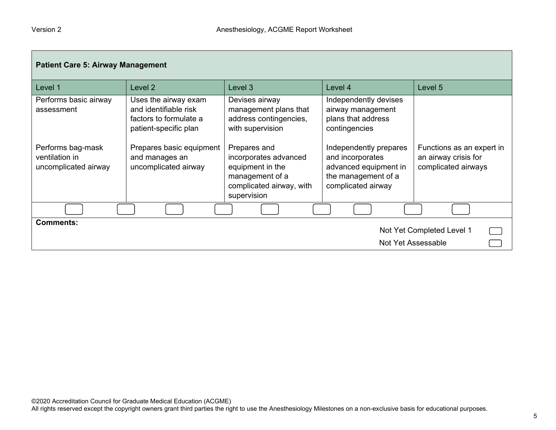| <b>Patient Care 5: Airway Management</b>                    |                                                                                                  |                                                                                                                         |                                                                                                                  |                                                                          |
|-------------------------------------------------------------|--------------------------------------------------------------------------------------------------|-------------------------------------------------------------------------------------------------------------------------|------------------------------------------------------------------------------------------------------------------|--------------------------------------------------------------------------|
| Level 1                                                     | Level <sub>2</sub>                                                                               | Level 3                                                                                                                 | Level 4                                                                                                          | Level 5                                                                  |
| Performs basic airway<br>assessment                         | Uses the airway exam<br>and identifiable risk<br>factors to formulate a<br>patient-specific plan | Devises airway<br>management plans that<br>address contingencies,<br>with supervision                                   | Independently devises<br>airway management<br>plans that address<br>contingencies                                |                                                                          |
| Performs bag-mask<br>ventilation in<br>uncomplicated airway | Prepares basic equipment<br>and manages an<br>uncomplicated airway                               | Prepares and<br>incorporates advanced<br>equipment in the<br>management of a<br>complicated airway, with<br>supervision | Independently prepares<br>and incorporates<br>advanced equipment in<br>the management of a<br>complicated airway | Functions as an expert in<br>an airway crisis for<br>complicated airways |
|                                                             |                                                                                                  |                                                                                                                         |                                                                                                                  |                                                                          |
| <b>Comments:</b>                                            |                                                                                                  |                                                                                                                         |                                                                                                                  | Not Yet Completed Level 1<br>Not Yet Assessable                          |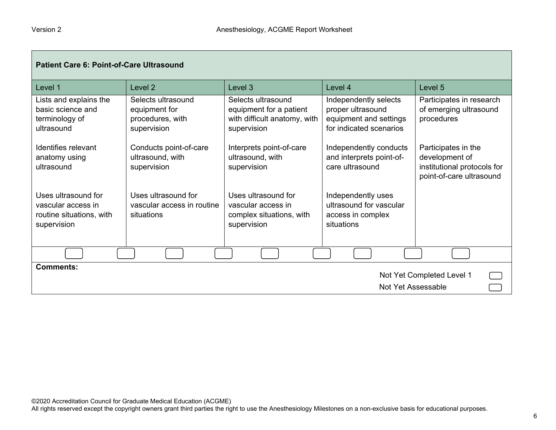| <b>Patient Care 6: Point-of-Care Ultrasound</b>                                      |                                                                        |                                                                                              |                                                                                                 |                                                                                                  |
|--------------------------------------------------------------------------------------|------------------------------------------------------------------------|----------------------------------------------------------------------------------------------|-------------------------------------------------------------------------------------------------|--------------------------------------------------------------------------------------------------|
| Level 1                                                                              | Level 2                                                                | Level 3                                                                                      | Level 4                                                                                         | Level 5                                                                                          |
| Lists and explains the<br>basic science and<br>terminology of<br>ultrasound          | Selects ultrasound<br>equipment for<br>procedures, with<br>supervision | Selects ultrasound<br>equipment for a patient<br>with difficult anatomy, with<br>supervision | Independently selects<br>proper ultrasound<br>equipment and settings<br>for indicated scenarios | Participates in research<br>of emerging ultrasound<br>procedures                                 |
| Identifies relevant<br>anatomy using<br>ultrasound                                   | Conducts point-of-care<br>ultrasound, with<br>supervision              | Interprets point-of-care<br>ultrasound, with<br>supervision                                  | Independently conducts<br>and interprets point-of-<br>care ultrasound                           | Participates in the<br>development of<br>institutional protocols for<br>point-of-care ultrasound |
| Uses ultrasound for<br>vascular access in<br>routine situations, with<br>supervision | Uses ultrasound for<br>vascular access in routine<br>situations        | Uses ultrasound for<br>vascular access in<br>complex situations, with<br>supervision         | Independently uses<br>ultrasound for vascular<br>access in complex<br>situations                |                                                                                                  |
|                                                                                      |                                                                        |                                                                                              |                                                                                                 |                                                                                                  |
| <b>Comments:</b><br>Not Yet Completed Level 1<br><b>Not Yet Assessable</b>           |                                                                        |                                                                                              |                                                                                                 |                                                                                                  |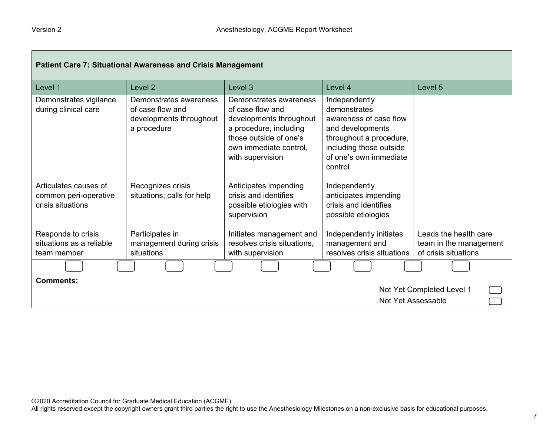| <b>Patient Care 7: Situational Awareness and Crisis Management</b>  |                                                                                      |                                                                                                                                                                         |                                                                                                                                                                        |                                                                         |
|---------------------------------------------------------------------|--------------------------------------------------------------------------------------|-------------------------------------------------------------------------------------------------------------------------------------------------------------------------|------------------------------------------------------------------------------------------------------------------------------------------------------------------------|-------------------------------------------------------------------------|
| Level 1                                                             | Level <sub>2</sub>                                                                   | Level 3                                                                                                                                                                 | Level 4                                                                                                                                                                | Level 5                                                                 |
| Demonstrates vigilance<br>during clinical care                      | Demonstrates awareness<br>of case flow and<br>developments throughout<br>a procedure | Demonstrates awareness<br>of case flow and<br>developments throughout<br>a procedure, including<br>those outside of one's<br>own immediate control,<br>with supervision | Independently<br>demonstrates<br>awareness of case flow<br>and developments<br>throughout a procedure,<br>including those outside<br>of one's own immediate<br>control |                                                                         |
| Articulates causes of<br>common peri-operative<br>crisis situations | Recognizes crisis<br>situations; calls for help                                      | Anticipates impending<br>crisis and identifies<br>possible etiologies with<br>supervision                                                                               | Independently<br>anticipates impending<br>crisis and identifies<br>possible etiologies                                                                                 |                                                                         |
| Responds to crisis<br>situations as a reliable<br>team member       | Participates in<br>management during crisis<br>situations                            | Initiates management and<br>resolves crisis situations,<br>with supervision                                                                                             | Independently initiates<br>management and<br>resolves crisis situations                                                                                                | Leads the health care<br>team in the management<br>of crisis situations |
|                                                                     |                                                                                      |                                                                                                                                                                         |                                                                                                                                                                        |                                                                         |
| <b>Comments:</b><br>Not Yet Completed Level 1<br>Not Yet Assessable |                                                                                      |                                                                                                                                                                         |                                                                                                                                                                        |                                                                         |

All rights reserved except the copyright owners grant third parties the right to use the Anesthesiology Milestones on a non-exclusive basis for educational purposes.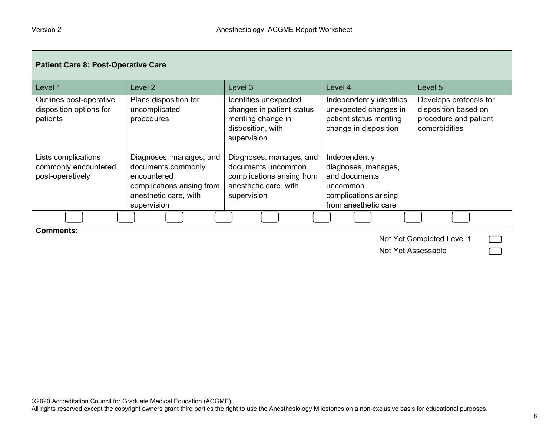| <b>Patient Care 8: Post-Operative Care</b>                          |                                                                                                                                    |                                                                                                                     |                                                                                                                    |                                                                                          |
|---------------------------------------------------------------------|------------------------------------------------------------------------------------------------------------------------------------|---------------------------------------------------------------------------------------------------------------------|--------------------------------------------------------------------------------------------------------------------|------------------------------------------------------------------------------------------|
| Level 1                                                             | Level 2                                                                                                                            | Level 3                                                                                                             | Level 4                                                                                                            | Level 5                                                                                  |
| Outlines post-operative<br>disposition options for<br>patients      | Plans disposition for<br>uncomplicated<br>procedures                                                                               | Identifies unexpected<br>changes in patient status<br>meriting change in<br>disposition, with<br>supervision        | Independently identifies<br>unexpected changes in<br>patient status meriting<br>change in disposition              | Develops protocols for<br>disposition based on<br>procedure and patient<br>comorbidities |
| Lists complications<br>commonly encountered<br>post-operatively     | Diagnoses, manages, and<br>documents commonly<br>encountered<br>complications arising from<br>anesthetic care, with<br>supervision | Diagnoses, manages, and<br>documents uncommon<br>complications arising from<br>anesthetic care, with<br>supervision | Independently<br>diagnoses, manages,<br>and documents<br>uncommon<br>complications arising<br>from anesthetic care |                                                                                          |
|                                                                     |                                                                                                                                    |                                                                                                                     |                                                                                                                    |                                                                                          |
| <b>Comments:</b><br>Not Yet Completed Level 1<br>Not Yet Assessable |                                                                                                                                    |                                                                                                                     |                                                                                                                    |                                                                                          |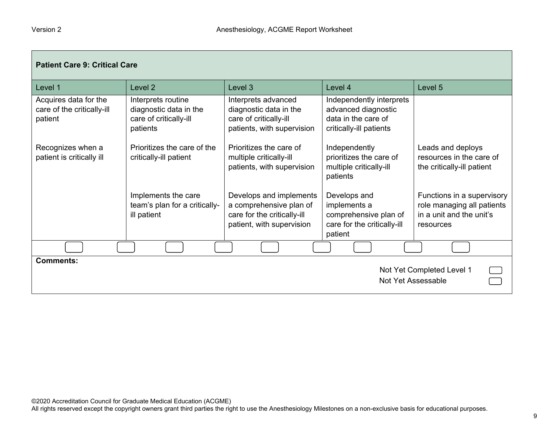| <b>Patient Care 9: Critical Care</b>                           |                                                                                    |                                                                                                                |                                                                                                   |                                                                                                   |
|----------------------------------------------------------------|------------------------------------------------------------------------------------|----------------------------------------------------------------------------------------------------------------|---------------------------------------------------------------------------------------------------|---------------------------------------------------------------------------------------------------|
| Level 1                                                        | Level 2                                                                            | Level 3                                                                                                        | Level 4                                                                                           | Level 5                                                                                           |
| Acquires data for the<br>care of the critically-ill<br>patient | Interprets routine<br>diagnostic data in the<br>care of critically-ill<br>patients | Interprets advanced<br>diagnostic data in the<br>care of critically-ill<br>patients, with supervision          | Independently interprets<br>advanced diagnostic<br>data in the care of<br>critically-ill patients |                                                                                                   |
| Recognizes when a<br>patient is critically ill                 | Prioritizes the care of the<br>critically-ill patient                              | Prioritizes the care of<br>multiple critically-ill<br>patients, with supervision                               | Independently<br>prioritizes the care of<br>multiple critically-ill<br>patients                   | Leads and deploys<br>resources in the care of<br>the critically-ill patient                       |
|                                                                | Implements the care<br>team's plan for a critically-<br>ill patient                | Develops and implements<br>a comprehensive plan of<br>care for the critically-ill<br>patient, with supervision | Develops and<br>implements a<br>comprehensive plan of<br>care for the critically-ill<br>patient   | Functions in a supervisory<br>role managing all patients<br>in a unit and the unit's<br>resources |
|                                                                |                                                                                    |                                                                                                                |                                                                                                   |                                                                                                   |
| Comments:<br>Not Yet Completed Level 1<br>Not Yet Assessable   |                                                                                    |                                                                                                                |                                                                                                   |                                                                                                   |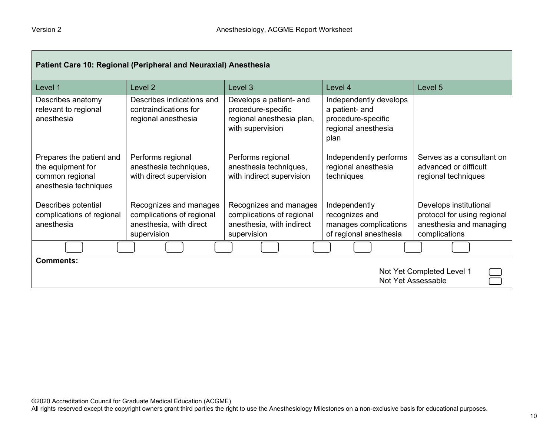| Patient Care 10: Regional (Peripheral and Neuraxial) Anesthesia                           |                                                                                               |                                                                                                 |                                                                                               |                                                                                                   |
|-------------------------------------------------------------------------------------------|-----------------------------------------------------------------------------------------------|-------------------------------------------------------------------------------------------------|-----------------------------------------------------------------------------------------------|---------------------------------------------------------------------------------------------------|
| Level 1                                                                                   | Level <sub>2</sub>                                                                            | Level 3                                                                                         | Level 4                                                                                       | Level 5                                                                                           |
| Describes anatomy<br>relevant to regional<br>anesthesia                                   | Describes indications and<br>contraindications for<br>regional anesthesia                     | Develops a patient- and<br>procedure-specific<br>regional anesthesia plan,<br>with supervision  | Independently develops<br>a patient- and<br>procedure-specific<br>regional anesthesia<br>plan |                                                                                                   |
| Prepares the patient and<br>the equipment for<br>common regional<br>anesthesia techniques | Performs regional<br>anesthesia techniques,<br>with direct supervision                        | Performs regional<br>anesthesia techniques,<br>with indirect supervision                        | Independently performs<br>regional anesthesia<br>techniques                                   | Serves as a consultant on<br>advanced or difficult<br>regional techniques                         |
| Describes potential<br>complications of regional<br>anesthesia                            | Recognizes and manages<br>complications of regional<br>anesthesia, with direct<br>supervision | Recognizes and manages<br>complications of regional<br>anesthesia, with indirect<br>supervision | Independently<br>recognizes and<br>manages complications<br>of regional anesthesia            | Develops institutional<br>protocol for using regional<br>anesthesia and managing<br>complications |
|                                                                                           |                                                                                               |                                                                                                 |                                                                                               |                                                                                                   |
| Comments:<br>Not Yet Completed Level 1<br>Not Yet Assessable                              |                                                                                               |                                                                                                 |                                                                                               |                                                                                                   |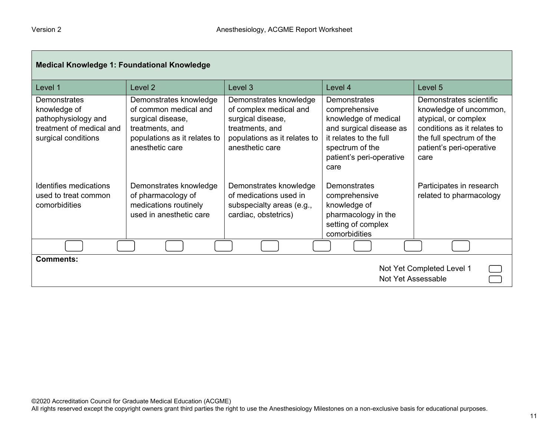| <b>Medical Knowledge 1: Foundational Knowledge</b>                                                     |                                                                                                                                            |                                                                                                                                             |                                                                                                                                                                   |                                                                                                                                                                          |
|--------------------------------------------------------------------------------------------------------|--------------------------------------------------------------------------------------------------------------------------------------------|---------------------------------------------------------------------------------------------------------------------------------------------|-------------------------------------------------------------------------------------------------------------------------------------------------------------------|--------------------------------------------------------------------------------------------------------------------------------------------------------------------------|
| Level 1                                                                                                | Level 2                                                                                                                                    | Level 3                                                                                                                                     | Level 4                                                                                                                                                           | Level 5                                                                                                                                                                  |
| Demonstrates<br>knowledge of<br>pathophysiology and<br>treatment of medical and<br>surgical conditions | Demonstrates knowledge<br>of common medical and<br>surgical disease,<br>treatments, and<br>populations as it relates to<br>anesthetic care | Demonstrates knowledge<br>of complex medical and<br>surgical disease,<br>treatments, and<br>populations as it relates to<br>anesthetic care | Demonstrates<br>comprehensive<br>knowledge of medical<br>and surgical disease as<br>it relates to the full<br>spectrum of the<br>patient's peri-operative<br>care | Demonstrates scientific<br>knowledge of uncommon,<br>atypical, or complex<br>conditions as it relates to<br>the full spectrum of the<br>patient's peri-operative<br>care |
| Identifies medications<br>used to treat common<br>comorbidities                                        | Demonstrates knowledge<br>of pharmacology of<br>medications routinely<br>used in anesthetic care                                           | Demonstrates knowledge<br>of medications used in<br>subspecialty areas (e.g.,<br>cardiac, obstetrics)                                       | Demonstrates<br>comprehensive<br>knowledge of<br>pharmacology in the<br>setting of complex<br>comorbidities                                                       | Participates in research<br>related to pharmacology                                                                                                                      |
|                                                                                                        |                                                                                                                                            |                                                                                                                                             |                                                                                                                                                                   |                                                                                                                                                                          |
| <b>Comments:</b><br>Not Yet Completed Level 1<br>Not Yet Assessable                                    |                                                                                                                                            |                                                                                                                                             |                                                                                                                                                                   |                                                                                                                                                                          |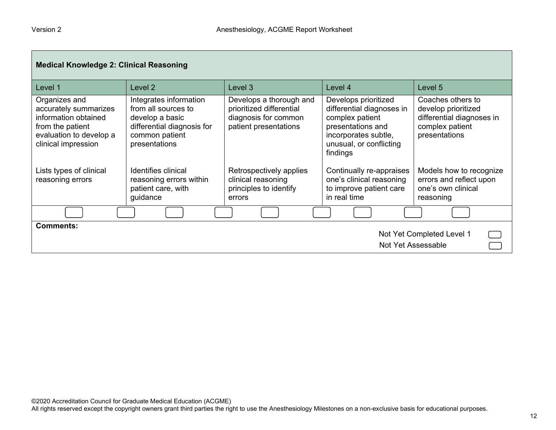| <b>Medical Knowledge 2: Clinical Reasoning</b>                                                                                       |                                                                                                                                   |                                                                                                      |                                                                                                                                                          |                                                                                                           |
|--------------------------------------------------------------------------------------------------------------------------------------|-----------------------------------------------------------------------------------------------------------------------------------|------------------------------------------------------------------------------------------------------|----------------------------------------------------------------------------------------------------------------------------------------------------------|-----------------------------------------------------------------------------------------------------------|
| Level 1                                                                                                                              | Level <sub>2</sub>                                                                                                                | Level 3                                                                                              | Level 4                                                                                                                                                  | Level 5                                                                                                   |
| Organizes and<br>accurately summarizes<br>information obtained<br>from the patient<br>evaluation to develop a<br>clinical impression | Integrates information<br>from all sources to<br>develop a basic<br>differential diagnosis for<br>common patient<br>presentations | Develops a thorough and<br>prioritized differential<br>diagnosis for common<br>patient presentations | Develops prioritized<br>differential diagnoses in<br>complex patient<br>presentations and<br>incorporates subtle,<br>unusual, or conflicting<br>findings | Coaches others to<br>develop prioritized<br>differential diagnoses in<br>complex patient<br>presentations |
| Lists types of clinical<br>reasoning errors                                                                                          | Identifies clinical<br>reasoning errors within<br>patient care, with<br>guidance                                                  | Retrospectively applies<br>clinical reasoning<br>principles to identify<br>errors                    | Continually re-appraises<br>one's clinical reasoning<br>to improve patient care<br>in real time                                                          | Models how to recognize<br>errors and reflect upon<br>one's own clinical<br>reasoning                     |
|                                                                                                                                      |                                                                                                                                   |                                                                                                      |                                                                                                                                                          |                                                                                                           |
| <b>Comments:</b><br>Not Yet Completed Level 1<br>Not Yet Assessable                                                                  |                                                                                                                                   |                                                                                                      |                                                                                                                                                          |                                                                                                           |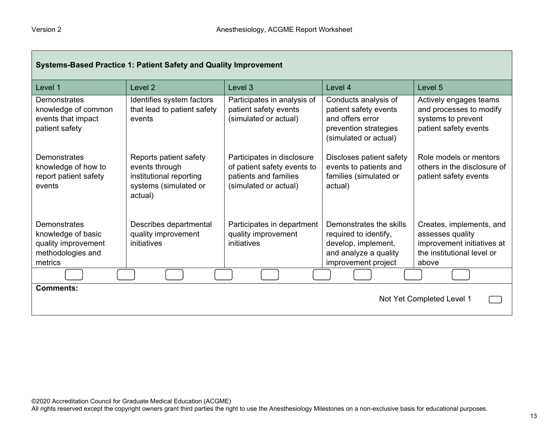| Systems-Based Practice 1: Patient Safety and Quality Improvement                          |                                                                                                         |                                                                                                             |                                                                                                                         |                                                                                                                   |
|-------------------------------------------------------------------------------------------|---------------------------------------------------------------------------------------------------------|-------------------------------------------------------------------------------------------------------------|-------------------------------------------------------------------------------------------------------------------------|-------------------------------------------------------------------------------------------------------------------|
| Level 1                                                                                   | Level <sub>2</sub>                                                                                      | Level <sub>3</sub>                                                                                          | Level 4                                                                                                                 | Level 5                                                                                                           |
| Demonstrates<br>knowledge of common<br>events that impact<br>patient safety               | Identifies system factors<br>that lead to patient safety<br>events                                      | Participates in analysis of<br>patient safety events<br>(simulated or actual)                               | Conducts analysis of<br>patient safety events<br>and offers error<br>prevention strategies<br>(simulated or actual)     | Actively engages teams<br>and processes to modify<br>systems to prevent<br>patient safety events                  |
| Demonstrates<br>knowledge of how to<br>report patient safety<br>events                    | Reports patient safety<br>events through<br>institutional reporting<br>systems (simulated or<br>actual) | Participates in disclosure<br>of patient safety events to<br>patients and families<br>(simulated or actual) | Discloses patient safety<br>events to patients and<br>families (simulated or<br>actual)                                 | Role models or mentors<br>others in the disclosure of<br>patient safety events                                    |
| Demonstrates<br>knowledge of basic<br>quality improvement<br>methodologies and<br>metrics | Describes departmental<br>quality improvement<br>initiatives                                            | Participates in department<br>quality improvement<br>initiatives                                            | Demonstrates the skills<br>required to identify,<br>develop, implement,<br>and analyze a quality<br>improvement project | Creates, implements, and<br>assesses quality<br>improvement initiatives at<br>the institutional level or<br>above |
|                                                                                           |                                                                                                         |                                                                                                             |                                                                                                                         |                                                                                                                   |
| <b>Comments:</b>                                                                          |                                                                                                         |                                                                                                             |                                                                                                                         | Not Yet Completed Level 1                                                                                         |

All rights reserved except the copyright owners grant third parties the right to use the Anesthesiology Milestones on a non-exclusive basis for educational purposes.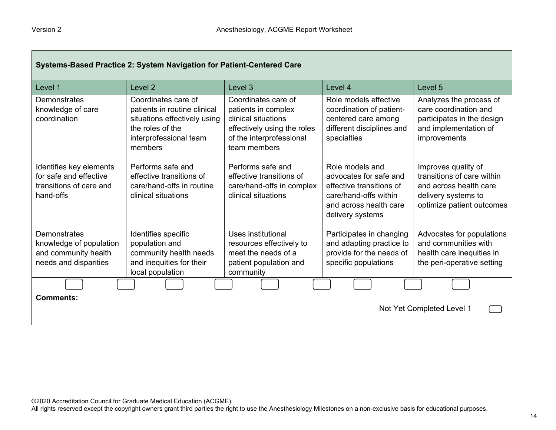| Systems-Based Practice 2: System Navigation for Patient-Centered Care                     |                                                                                                                                              |                                                                                                                                              |                                                                                                                                              |                                                                                                                                 |
|-------------------------------------------------------------------------------------------|----------------------------------------------------------------------------------------------------------------------------------------------|----------------------------------------------------------------------------------------------------------------------------------------------|----------------------------------------------------------------------------------------------------------------------------------------------|---------------------------------------------------------------------------------------------------------------------------------|
| Level 1                                                                                   | Level <sub>2</sub>                                                                                                                           | Level 3                                                                                                                                      | Level 4                                                                                                                                      | Level 5                                                                                                                         |
| Demonstrates<br>knowledge of care<br>coordination                                         | Coordinates care of<br>patients in routine clinical<br>situations effectively using<br>the roles of the<br>interprofessional team<br>members | Coordinates care of<br>patients in complex<br>clinical situations<br>effectively using the roles<br>of the interprofessional<br>team members | Role models effective<br>coordination of patient-<br>centered care among<br>different disciplines and<br>specialties                         | Analyzes the process of<br>care coordination and<br>participates in the design<br>and implementation of<br>improvements         |
| Identifies key elements<br>for safe and effective<br>transitions of care and<br>hand-offs | Performs safe and<br>effective transitions of<br>care/hand-offs in routine<br>clinical situations                                            | Performs safe and<br>effective transitions of<br>care/hand-offs in complex<br>clinical situations                                            | Role models and<br>advocates for safe and<br>effective transitions of<br>care/hand-offs within<br>and across health care<br>delivery systems | Improves quality of<br>transitions of care within<br>and across health care<br>delivery systems to<br>optimize patient outcomes |
| Demonstrates<br>knowledge of population<br>and community health<br>needs and disparities  | Identifies specific<br>population and<br>community health needs<br>and inequities for their<br>local population                              | Uses institutional<br>resources effectively to<br>meet the needs of a<br>patient population and<br>community                                 | Participates in changing<br>and adapting practice to<br>provide for the needs of<br>specific populations                                     | Advocates for populations<br>and communities with<br>health care inequities in<br>the peri-operative setting                    |
|                                                                                           |                                                                                                                                              |                                                                                                                                              |                                                                                                                                              |                                                                                                                                 |
| <b>Comments:</b><br>Not Yet Completed Level 1                                             |                                                                                                                                              |                                                                                                                                              |                                                                                                                                              |                                                                                                                                 |

ш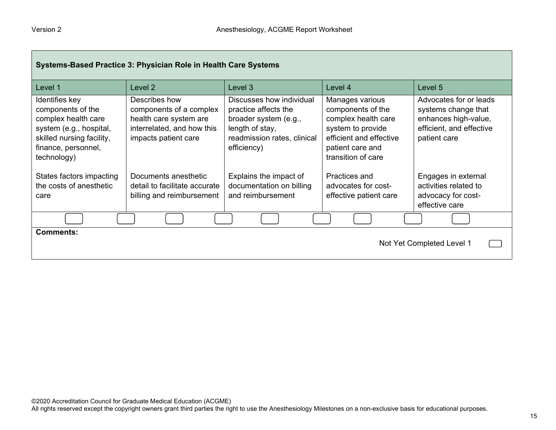| Systems-Based Practice 3: Physician Role in Health Care Systems                                                                                          |                                                                                                                          |                                                                                                                                            |                                                                                                                                                       |                                                                                                                   |
|----------------------------------------------------------------------------------------------------------------------------------------------------------|--------------------------------------------------------------------------------------------------------------------------|--------------------------------------------------------------------------------------------------------------------------------------------|-------------------------------------------------------------------------------------------------------------------------------------------------------|-------------------------------------------------------------------------------------------------------------------|
| Level 1                                                                                                                                                  | Level 2                                                                                                                  | Level 3                                                                                                                                    | Level 4                                                                                                                                               | Level 5                                                                                                           |
| Identifies key<br>components of the<br>complex health care<br>system (e.g., hospital,<br>skilled nursing facility,<br>finance, personnel,<br>technology) | Describes how<br>components of a complex<br>health care system are<br>interrelated, and how this<br>impacts patient care | Discusses how individual<br>practice affects the<br>broader system (e.g.,<br>length of stay,<br>readmission rates, clinical<br>efficiency) | Manages various<br>components of the<br>complex health care<br>system to provide<br>efficient and effective<br>patient care and<br>transition of care | Advocates for or leads<br>systems change that<br>enhances high-value,<br>efficient, and effective<br>patient care |
| States factors impacting<br>the costs of anesthetic<br>care                                                                                              | Documents anesthetic<br>detail to facilitate accurate<br>billing and reimbursement                                       | Explains the impact of<br>documentation on billing<br>and reimbursement                                                                    | Practices and<br>advocates for cost-<br>effective patient care                                                                                        | Engages in external<br>activities related to<br>advocacy for cost-<br>effective care                              |
|                                                                                                                                                          |                                                                                                                          |                                                                                                                                            |                                                                                                                                                       |                                                                                                                   |
| <b>Comments:</b><br>Not Yet Completed Level 1                                                                                                            |                                                                                                                          |                                                                                                                                            |                                                                                                                                                       |                                                                                                                   |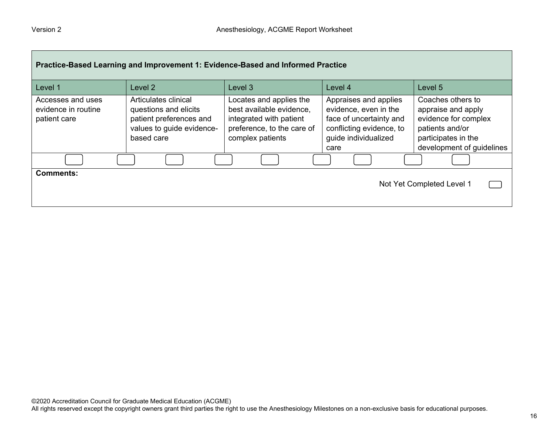| Practice-Based Learning and Improvement 1: Evidence-Based and Informed Practice |                                                                                                                     |                                                                                                                                  |                                                                                                                                       |                                                                                                                                        |
|---------------------------------------------------------------------------------|---------------------------------------------------------------------------------------------------------------------|----------------------------------------------------------------------------------------------------------------------------------|---------------------------------------------------------------------------------------------------------------------------------------|----------------------------------------------------------------------------------------------------------------------------------------|
| Level 1                                                                         | Level 2                                                                                                             | Level 3                                                                                                                          | Level 4                                                                                                                               | Level 5                                                                                                                                |
| Accesses and uses<br>evidence in routine<br>patient care                        | Articulates clinical<br>questions and elicits<br>patient preferences and<br>values to guide evidence-<br>based care | Locates and applies the<br>best available evidence,<br>integrated with patient<br>preference, to the care of<br>complex patients | Appraises and applies<br>evidence, even in the<br>face of uncertainty and<br>conflicting evidence, to<br>guide individualized<br>care | Coaches others to<br>appraise and apply<br>evidence for complex<br>patients and/or<br>participates in the<br>development of guidelines |
|                                                                                 |                                                                                                                     |                                                                                                                                  |                                                                                                                                       |                                                                                                                                        |
| <b>Comments:</b>                                                                |                                                                                                                     |                                                                                                                                  |                                                                                                                                       | Not Yet Completed Level 1                                                                                                              |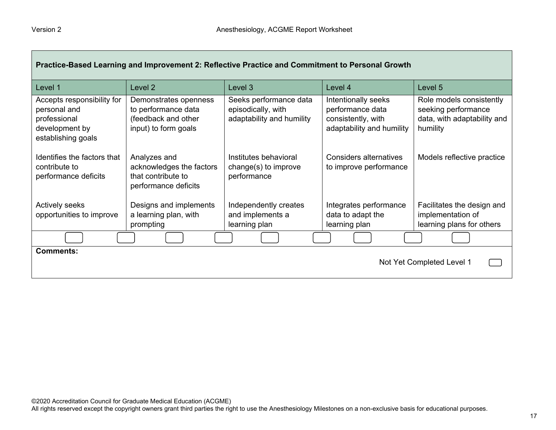| Practice-Based Learning and Improvement 2: Reflective Practice and Commitment to Personal Growth   |                                                                                             |                                                                           |                                                                                            |                                                                                            |
|----------------------------------------------------------------------------------------------------|---------------------------------------------------------------------------------------------|---------------------------------------------------------------------------|--------------------------------------------------------------------------------------------|--------------------------------------------------------------------------------------------|
| Level 1                                                                                            | Level 2                                                                                     | Level 3                                                                   | Level 4                                                                                    | Level 5                                                                                    |
| Accepts responsibility for<br>personal and<br>professional<br>development by<br>establishing goals | Demonstrates openness<br>to performance data<br>(feedback and other<br>input) to form goals | Seeks performance data<br>episodically, with<br>adaptability and humility | Intentionally seeks<br>performance data<br>consistently, with<br>adaptability and humility | Role models consistently<br>seeking performance<br>data, with adaptability and<br>humility |
| Identifies the factors that<br>contribute to<br>performance deficits                               | Analyzes and<br>acknowledges the factors<br>that contribute to<br>performance deficits      | Institutes behavioral<br>change(s) to improve<br>performance              | Considers alternatives<br>to improve performance                                           | Models reflective practice                                                                 |
| <b>Actively seeks</b><br>opportunities to improve                                                  | Designs and implements<br>a learning plan, with<br>prompting                                | Independently creates<br>and implements a<br>learning plan                | Integrates performance<br>data to adapt the<br>learning plan                               | Facilitates the design and<br>implementation of<br>learning plans for others               |
|                                                                                                    |                                                                                             |                                                                           |                                                                                            |                                                                                            |
| <b>Comments:</b><br>Not Yet Completed Level 1                                                      |                                                                                             |                                                                           |                                                                                            |                                                                                            |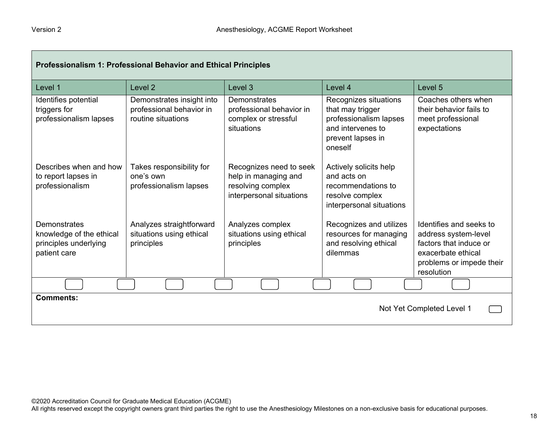| Professionalism 1: Professional Behavior and Ethical Principles                   |                                                                             |                                                                                                  |                                                                                                                          |                                                                                                                                           |  |
|-----------------------------------------------------------------------------------|-----------------------------------------------------------------------------|--------------------------------------------------------------------------------------------------|--------------------------------------------------------------------------------------------------------------------------|-------------------------------------------------------------------------------------------------------------------------------------------|--|
| Level 1                                                                           | Level 2                                                                     | Level 3                                                                                          | Level 4                                                                                                                  | Level 5                                                                                                                                   |  |
| Identifies potential<br>triggers for<br>professionalism lapses                    | Demonstrates insight into<br>professional behavior in<br>routine situations | <b>Demonstrates</b><br>professional behavior in<br>complex or stressful<br>situations            | Recognizes situations<br>that may trigger<br>professionalism lapses<br>and intervenes to<br>prevent lapses in<br>oneself | Coaches others when<br>their behavior fails to<br>meet professional<br>expectations                                                       |  |
| Describes when and how<br>to report lapses in<br>professionalism                  | Takes responsibility for<br>one's own<br>professionalism lapses             | Recognizes need to seek<br>help in managing and<br>resolving complex<br>interpersonal situations | Actively solicits help<br>and acts on<br>recommendations to<br>resolve complex<br>interpersonal situations               |                                                                                                                                           |  |
| Demonstrates<br>knowledge of the ethical<br>principles underlying<br>patient care | Analyzes straightforward<br>situations using ethical<br>principles          | Analyzes complex<br>situations using ethical<br>principles                                       | Recognizes and utilizes<br>resources for managing<br>and resolving ethical<br>dilemmas                                   | Identifies and seeks to<br>address system-level<br>factors that induce or<br>exacerbate ethical<br>problems or impede their<br>resolution |  |
|                                                                                   |                                                                             |                                                                                                  |                                                                                                                          |                                                                                                                                           |  |
| <b>Comments:</b><br>Not Yet Completed Level 1                                     |                                                                             |                                                                                                  |                                                                                                                          |                                                                                                                                           |  |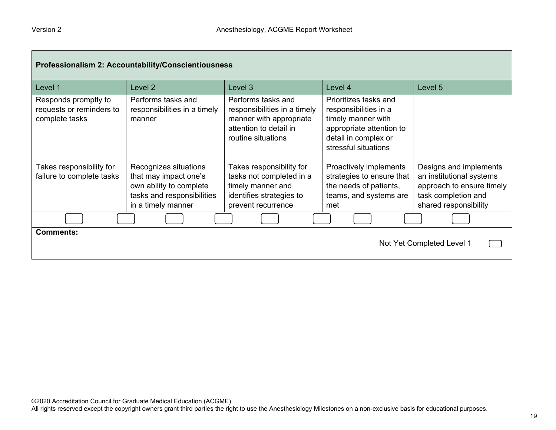| Professionalism 2: Accountability/Conscientiousness                |                                                                                                                               |                                                                                                                               |                                                                                                                                                  |                                                                                                                                 |
|--------------------------------------------------------------------|-------------------------------------------------------------------------------------------------------------------------------|-------------------------------------------------------------------------------------------------------------------------------|--------------------------------------------------------------------------------------------------------------------------------------------------|---------------------------------------------------------------------------------------------------------------------------------|
| Level 1                                                            | Level 2                                                                                                                       | Level 3                                                                                                                       | Level 4                                                                                                                                          | Level 5                                                                                                                         |
| Responds promptly to<br>requests or reminders to<br>complete tasks | Performs tasks and<br>responsibilities in a timely<br>manner                                                                  | Performs tasks and<br>responsibilities in a timely<br>manner with appropriate<br>attention to detail in<br>routine situations | Prioritizes tasks and<br>responsibilities in a<br>timely manner with<br>appropriate attention to<br>detail in complex or<br>stressful situations |                                                                                                                                 |
| Takes responsibility for<br>failure to complete tasks              | Recognizes situations<br>that may impact one's<br>own ability to complete<br>tasks and responsibilities<br>in a timely manner | Takes responsibility for<br>tasks not completed in a<br>timely manner and<br>identifies strategies to<br>prevent recurrence   | Proactively implements<br>strategies to ensure that<br>the needs of patients,<br>teams, and systems are<br>met                                   | Designs and implements<br>an institutional systems<br>approach to ensure timely<br>task completion and<br>shared responsibility |
|                                                                    |                                                                                                                               |                                                                                                                               |                                                                                                                                                  |                                                                                                                                 |
| <b>Comments:</b><br>Not Yet Completed Level 1                      |                                                                                                                               |                                                                                                                               |                                                                                                                                                  |                                                                                                                                 |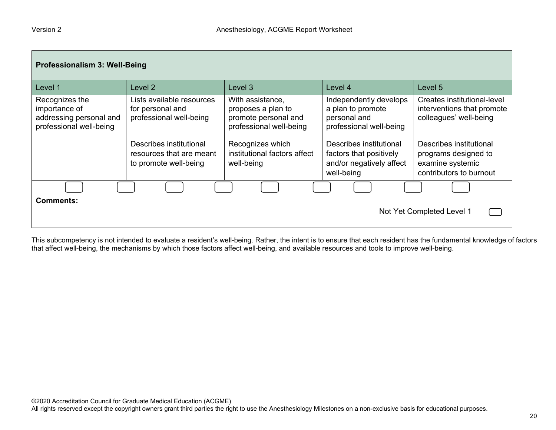| Professionalism 3: Well-Being                                                         |                                                                                                     |                                                                                                               |                                                                                                                   |                                                                                                                |
|---------------------------------------------------------------------------------------|-----------------------------------------------------------------------------------------------------|---------------------------------------------------------------------------------------------------------------|-------------------------------------------------------------------------------------------------------------------|----------------------------------------------------------------------------------------------------------------|
| Level 1                                                                               | Level <sub>2</sub>                                                                                  | Level 3                                                                                                       | Level 4                                                                                                           | Level 5                                                                                                        |
| Recognizes the<br>importance of<br>addressing personal and<br>professional well-being | Lists available resources<br>for personal and<br>professional well-being<br>Describes institutional | With assistance,<br>proposes a plan to<br>promote personal and<br>professional well-being<br>Recognizes which | Independently develops<br>a plan to promote<br>personal and<br>professional well-being<br>Describes institutional | Creates institutional-level<br>interventions that promote<br>colleagues' well-being<br>Describes institutional |
|                                                                                       | resources that are meant<br>to promote well-being                                                   | institutional factors affect<br>well-being                                                                    | factors that positively<br>and/or negatively affect<br>well-being                                                 | programs designed to<br>examine systemic<br>contributors to burnout                                            |
|                                                                                       |                                                                                                     |                                                                                                               |                                                                                                                   |                                                                                                                |
| <b>Comments:</b><br>Not Yet Completed Level 1                                         |                                                                                                     |                                                                                                               |                                                                                                                   |                                                                                                                |

This subcompetency is not intended to evaluate a resident's well-being. Rather, the intent is to ensure that each resident has the fundamental knowledge of factors that affect well-being, the mechanisms by which those factors affect well-being, and available resources and tools to improve well-being.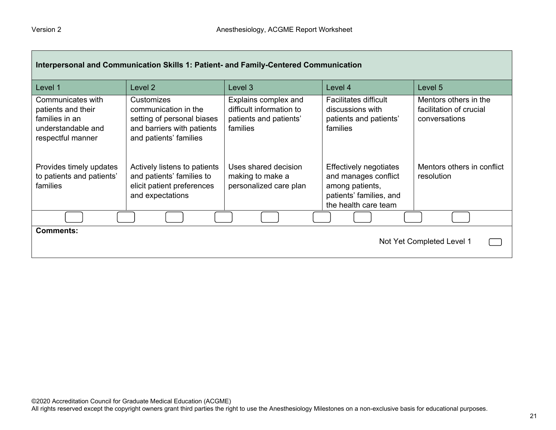| Interpersonal and Communication Skills 1: Patient- and Family-Centered Communication                 |                                                                                                                          |                                                                                        |                                                                                                                             |                                                                   |
|------------------------------------------------------------------------------------------------------|--------------------------------------------------------------------------------------------------------------------------|----------------------------------------------------------------------------------------|-----------------------------------------------------------------------------------------------------------------------------|-------------------------------------------------------------------|
| Level 1                                                                                              | Level 2                                                                                                                  | Level 3                                                                                | Level 4                                                                                                                     | Level 5                                                           |
| Communicates with<br>patients and their<br>families in an<br>understandable and<br>respectful manner | Customizes<br>communication in the<br>setting of personal biases<br>and barriers with patients<br>and patients' families | Explains complex and<br>difficult information to<br>patients and patients'<br>families | <b>Facilitates difficult</b><br>discussions with<br>patients and patients'<br>families                                      | Mentors others in the<br>facilitation of crucial<br>conversations |
| Provides timely updates<br>to patients and patients'<br>families                                     | Actively listens to patients<br>and patients' families to<br>elicit patient preferences<br>and expectations              | Uses shared decision<br>making to make a<br>personalized care plan                     | <b>Effectively negotiates</b><br>and manages conflict<br>among patients,<br>patients' families, and<br>the health care team | Mentors others in conflict<br>resolution                          |
|                                                                                                      |                                                                                                                          |                                                                                        |                                                                                                                             |                                                                   |
| <b>Comments:</b><br>Not Yet Completed Level 1                                                        |                                                                                                                          |                                                                                        |                                                                                                                             |                                                                   |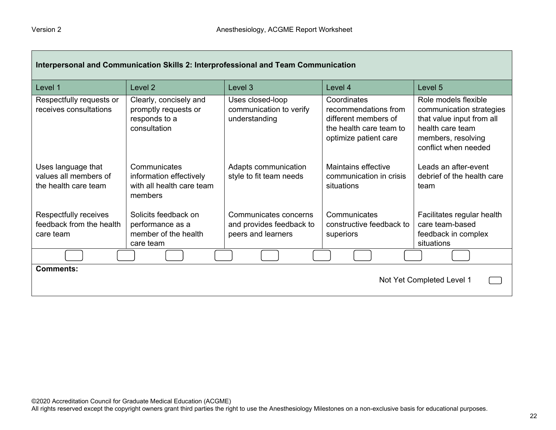| Interpersonal and Communication Skills 2: Interprofessional and Team Communication |                                                                                 |                                                                         |                                                                                                                 |                                                                                                                                                 |
|------------------------------------------------------------------------------------|---------------------------------------------------------------------------------|-------------------------------------------------------------------------|-----------------------------------------------------------------------------------------------------------------|-------------------------------------------------------------------------------------------------------------------------------------------------|
| Level 1                                                                            | Level <sub>2</sub>                                                              | Level 3                                                                 | Level 4                                                                                                         | Level 5                                                                                                                                         |
| Respectfully requests or<br>receives consultations                                 | Clearly, concisely and<br>promptly requests or<br>responds to a<br>consultation | Uses closed-loop<br>communication to verify<br>understanding            | Coordinates<br>recommendations from<br>different members of<br>the health care team to<br>optimize patient care | Role models flexible<br>communication strategies<br>that value input from all<br>health care team<br>members, resolving<br>conflict when needed |
| Uses language that<br>values all members of<br>the health care team                | Communicates<br>information effectively<br>with all health care team<br>members | Adapts communication<br>style to fit team needs                         | Maintains effective<br>communication in crisis<br>situations                                                    | Leads an after-event<br>debrief of the health care<br>team                                                                                      |
| Respectfully receives<br>feedback from the health<br>care team                     | Solicits feedback on<br>performance as a<br>member of the health<br>care team   | Communicates concerns<br>and provides feedback to<br>peers and learners | Communicates<br>constructive feedback to<br>superiors                                                           | Facilitates regular health<br>care team-based<br>feedback in complex<br>situations                                                              |
|                                                                                    |                                                                                 |                                                                         |                                                                                                                 |                                                                                                                                                 |
| <b>Comments:</b><br>Not Yet Completed Level 1                                      |                                                                                 |                                                                         |                                                                                                                 |                                                                                                                                                 |